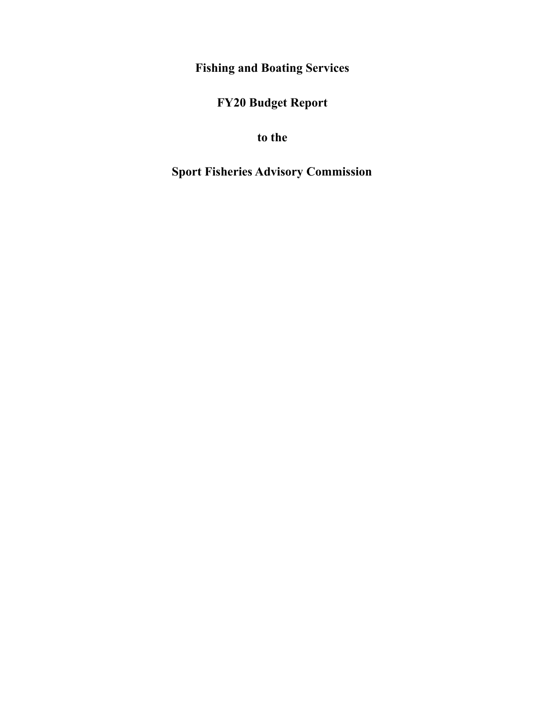**Fishing and Boating Services**

**FY20 Budget Report**

**to the**

**Sport Fisheries Advisory Commission**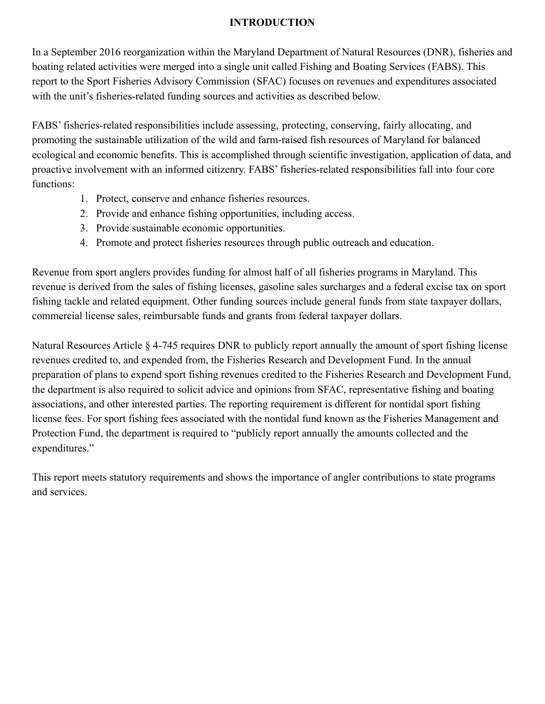## **INTRODUCTION**

In a September 2016 reorganization within the Maryland Department of Natural Resources (DNR), fisheries and boating related activities were merged into a single unit called Fishing and Boating Services (FABS). This report to the Sport Fisheries Advisory Commission (SFAC) focuses on revenues and expenditures associated with the unit's fisheries-related funding sources and activities as described below.

FABS' fisheries-related responsibilities include assessing, protecting, conserving, fairly allocating, and promoting the sustainable utilization of the wild and farm-raised fish resources of Maryland for balanced ecological and economic benefits. This is accomplished through scientific investigation, application of data, and proactive involvement with an informed citizenry. FABS' fisheries-related responsibilities fall into four core functions:

- 1. Protect, conserve and enhance fisheries resources.
- 2. Provide and enhance fishing opportunities, including access.
- 3. Provide sustainable economic opportunities.
- 4. Promote and protect fisheries resources through public outreach and education.

Revenue from sport anglers provides funding for almost half of all fisheries programs in Maryland. This revenue is derived from the sales of fishing licenses, gasoline sales surcharges and a federal excise tax on sport fishing tackle and related equipment. Other funding sources include general funds from state taxpayer dollars, commercial license sales, reimbursable funds and grants from federal taxpayer dollars.

Natural Resources Article § 4-745 requires DNR to publicly report annually the amount of sport fishing license revenues credited to, and expended from, the Fisheries Research and Development Fund. In the annual preparation of plans to expend sport fishing revenues credited to the Fisheries Research and Development Fund, the department is also required to solicit advice and opinions from SFAC, representative fishing and boating associations, and other interested parties. The reporting requirement is different for nontidal sport fishing license fees. For sport fishing fees associated with the nontidal fund known as the Fisheries Management and Protection Fund, the department is required to "publicly report annually the amounts collected and the expenditures."

This report meets statutory requirements and shows the importance of angler contributions to state programs and services.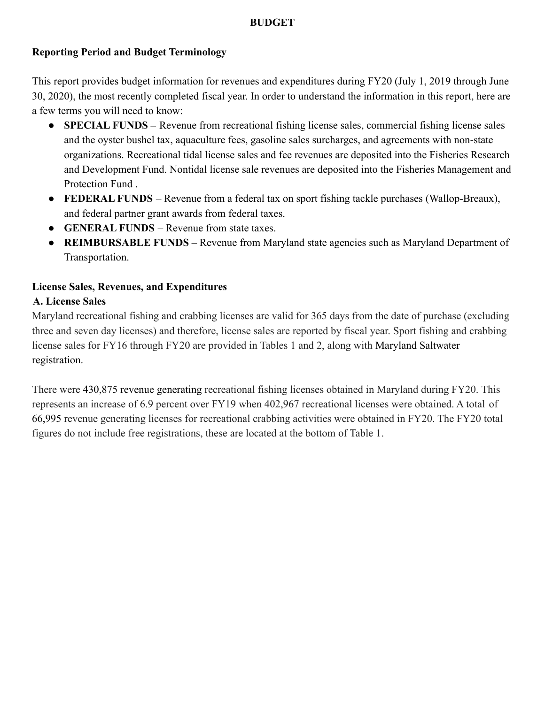## **BUDGET**

## **Reporting Period and Budget Terminology**

This report provides budget information for revenues and expenditures during FY20 (July 1, 2019 through June 30, 2020), the most recently completed fiscal year. In order to understand the information in this report, here are a few terms you will need to know:

- **SPECIAL FUNDS –** Revenue from recreational fishing license sales, commercial fishing license sales and the oyster bushel tax, aquaculture fees, gasoline sales surcharges, and agreements with non-state organizations. Recreational tidal license sales and fee revenues are deposited into the Fisheries Research and Development Fund. Nontidal license sale revenues are deposited into the Fisheries Management and Protection Fund .
- **FEDERAL FUNDS** Revenue from a federal tax on sport fishing tackle purchases (Wallop-Breaux), and federal partner grant awards from federal taxes.
- **GENERAL FUNDS** Revenue from state taxes.
- **REIMBURSABLE FUNDS** Revenue from Maryland state agencies such as Maryland Department of Transportation.

## **License Sales, Revenues, and Expenditures**

#### **A. License Sales**

Maryland recreational fishing and crabbing licenses are valid for 365 days from the date of purchase (excluding three and seven day licenses) and therefore, license sales are reported by fiscal year. Sport fishing and crabbing license sales for FY16 through FY20 are provided in Tables 1 and 2, along with Maryland Saltwater registration.

There were 430,875 revenue generating recreational fishing licenses obtained in Maryland during FY20. This represents an increase of 6.9 percent over FY19 when 402,967 recreational licenses were obtained. A total of 66,995 revenue generating licenses for recreational crabbing activities were obtained in FY20. The FY20 total figures do not include free registrations, these are located at the bottom of Table 1.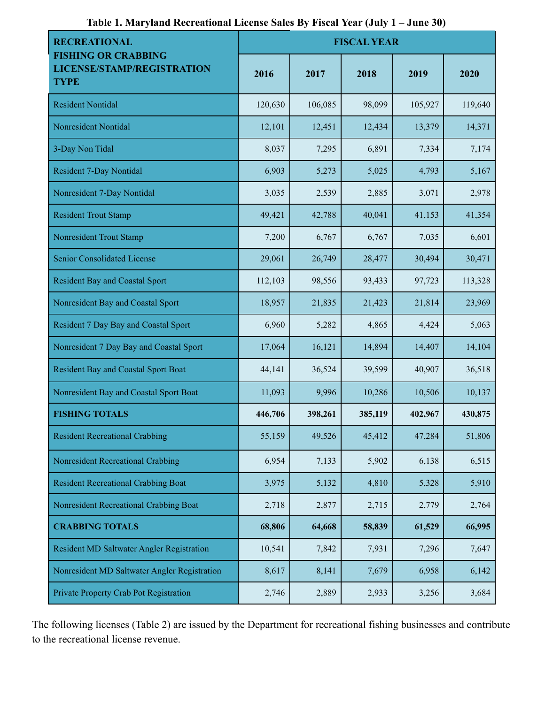| <b>RECREATIONAL</b>                                                     | <b>FISCAL YEAR</b> |         |         |         |         |
|-------------------------------------------------------------------------|--------------------|---------|---------|---------|---------|
| <b>FISHING OR CRABBING</b><br>LICENSE/STAMP/REGISTRATION<br><b>TYPE</b> | 2016               | 2017    | 2018    | 2019    | 2020    |
| <b>Resident Nontidal</b>                                                | 120,630            | 106,085 | 98,099  | 105,927 | 119,640 |
| <b>Nonresident Nontidal</b>                                             | 12,101             | 12,451  | 12,434  | 13,379  | 14,371  |
| 3-Day Non Tidal                                                         | 8,037              | 7,295   | 6,891   | 7,334   | 7,174   |
| <b>Resident 7-Day Nontidal</b>                                          | 6,903              | 5,273   | 5,025   | 4,793   | 5,167   |
| Nonresident 7-Day Nontidal                                              | 3,035              | 2,539   | 2,885   | 3,071   | 2,978   |
| <b>Resident Trout Stamp</b>                                             | 49,421             | 42,788  | 40,041  | 41,153  | 41,354  |
| <b>Nonresident Trout Stamp</b>                                          | 7,200              | 6,767   | 6,767   | 7,035   | 6,601   |
| Senior Consolidated License                                             | 29,061             | 26,749  | 28,477  | 30,494  | 30,471  |
| <b>Resident Bay and Coastal Sport</b>                                   | 112,103            | 98,556  | 93,433  | 97,723  | 113,328 |
| Nonresident Bay and Coastal Sport                                       | 18,957             | 21,835  | 21,423  | 21,814  | 23,969  |
| Resident 7 Day Bay and Coastal Sport                                    | 6,960              | 5,282   | 4,865   | 4,424   | 5,063   |
| Nonresident 7 Day Bay and Coastal Sport                                 | 17,064             | 16,121  | 14,894  | 14,407  | 14,104  |
| <b>Resident Bay and Coastal Sport Boat</b>                              | 44,141             | 36,524  | 39,599  | 40,907  | 36,518  |
| Nonresident Bay and Coastal Sport Boat                                  | 11,093             | 9,996   | 10,286  | 10,506  | 10,137  |
| <b>FISHING TOTALS</b>                                                   | 446,706            | 398,261 | 385,119 | 402,967 | 430,875 |
| <b>Resident Recreational Crabbing</b>                                   | 55,159             | 49,526  | 45,412  | 47,284  | 51,806  |
| Nonresident Recreational Crabbing                                       | 6,954              | 7,133   | 5,902   | 6,138   | 6,515   |
| <b>Resident Recreational Crabbing Boat</b>                              | 3,975              | 5,132   | 4,810   | 5,328   | 5,910   |
| Nonresident Recreational Crabbing Boat                                  | 2,718              | 2,877   | 2,715   | 2,779   | 2,764   |
| <b>CRABBING TOTALS</b>                                                  | 68,806             | 64,668  | 58,839  | 61,529  | 66,995  |
| Resident MD Saltwater Angler Registration                               | 10,541             | 7,842   | 7,931   | 7,296   | 7,647   |
| Nonresident MD Saltwater Angler Registration                            | 8,617              | 8,141   | 7,679   | 6,958   | 6,142   |
| Private Property Crab Pot Registration                                  | 2,746              | 2,889   | 2,933   | 3,256   | 3,684   |

**Table 1. Maryland Recreational License Sales By Fiscal Year (July 1 – June 30)**

The following licenses (Table 2) are issued by the Department for recreational fishing businesses and contribute to the recreational license revenue.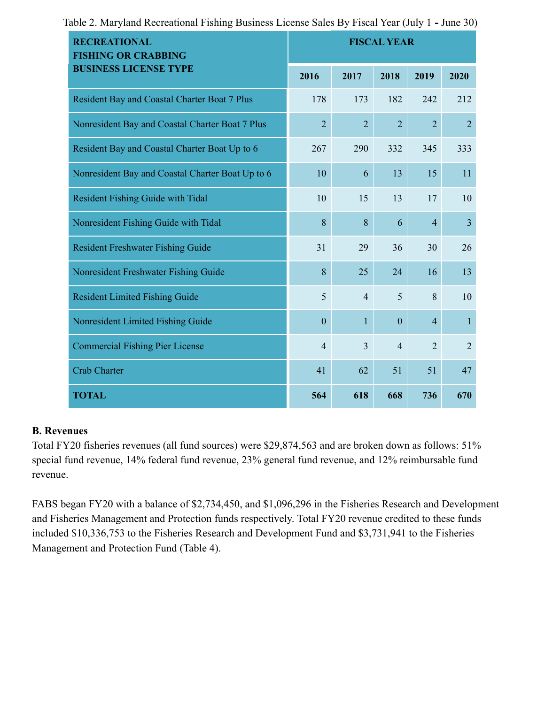| <b>RECREATIONAL</b><br><b>FISHING OR CRABBING</b> | <b>FISCAL YEAR</b> |                |                |                |                |
|---------------------------------------------------|--------------------|----------------|----------------|----------------|----------------|
| <b>BUSINESS LICENSE TYPE</b>                      | 2016               | 2017           | 2018           | 2019           | 2020           |
| Resident Bay and Coastal Charter Boat 7 Plus      | 178                | 173            | 182            | 242            | 212            |
| Nonresident Bay and Coastal Charter Boat 7 Plus   | $\overline{2}$     | $\overline{2}$ | $\overline{2}$ | $\overline{2}$ | $\overline{2}$ |
| Resident Bay and Coastal Charter Boat Up to 6     | 267                | 290            | 332            | 345            | 333            |
| Nonresident Bay and Coastal Charter Boat Up to 6  | 10                 | 6              | 13             | 15             | 11             |
| <b>Resident Fishing Guide with Tidal</b>          | 10                 | 15             | 13             | 17             | 10             |
| Nonresident Fishing Guide with Tidal              | 8                  | 8              | 6              | $\overline{4}$ | $\overline{3}$ |
| <b>Resident Freshwater Fishing Guide</b>          | 31                 | 29             | 36             | 30             | 26             |
| Nonresident Freshwater Fishing Guide              | 8                  | 25             | 24             | 16             | 13             |
| <b>Resident Limited Fishing Guide</b>             | 5                  | $\overline{4}$ | 5              | 8              | 10             |
| Nonresident Limited Fishing Guide                 | $\mathbf{0}$       | $\mathbf{1}$   | $\mathbf{0}$   | $\overline{4}$ | $\mathbf{1}$   |
| <b>Commercial Fishing Pier License</b>            | $\overline{4}$     | $\overline{3}$ | $\overline{4}$ | $\overline{2}$ | $\overline{2}$ |
| <b>Crab Charter</b>                               | 41                 | 62             | 51             | 51             | 47             |
| <b>TOTAL</b>                                      | 564                | 618            | 668            | 736            | 670            |

Table 2. Maryland Recreational Fishing Business License Sales By Fiscal Year (July 1 **-** June 30)

## **B. Revenues**

Total FY20 fisheries revenues (all fund sources) were \$29,874,563 and are broken down as follows: 51% special fund revenue, 14% federal fund revenue, 23% general fund revenue, and 12% reimbursable fund revenue.

FABS began FY20 with a balance of \$2,734,450, and \$1,096,296 in the Fisheries Research and Development and Fisheries Management and Protection funds respectively. Total FY20 revenue credited to these funds included \$10,336,753 to the Fisheries Research and Development Fund and \$3,731,941 to the Fisheries Management and Protection Fund (Table 4).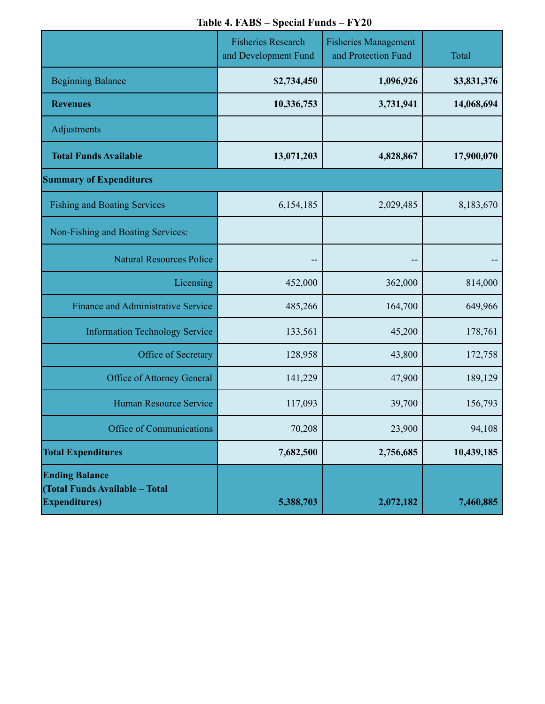# **Table 4. FABS – Special Funds – FY20**

|                                                                                  | <b>Fisheries Research</b><br>and Development Fund | <b>Fisheries Management</b><br>and Protection Fund | Total       |
|----------------------------------------------------------------------------------|---------------------------------------------------|----------------------------------------------------|-------------|
| <b>Beginning Balance</b>                                                         | \$2,734,450                                       | 1,096,926                                          | \$3,831,376 |
| <b>Revenues</b>                                                                  | 10,336,753                                        | 3,731,941                                          | 14,068,694  |
| Adjustments                                                                      |                                                   |                                                    |             |
| <b>Total Funds Available</b>                                                     | 13,071,203                                        | 4,828,867                                          | 17,900,070  |
| <b>Summary of Expenditures</b>                                                   |                                                   |                                                    |             |
| <b>Fishing and Boating Services</b>                                              | 6,154,185                                         | 2,029,485                                          | 8,183,670   |
| Non-Fishing and Boating Services:                                                |                                                   |                                                    |             |
| <b>Natural Resources Police</b>                                                  | --                                                | ۰.                                                 |             |
| Licensing                                                                        | 452,000                                           | 362,000                                            | 814,000     |
| <b>Finance and Administrative Service</b>                                        | 485,266                                           | 164,700                                            | 649,966     |
| <b>Information Technology Service</b>                                            | 133,561                                           | 45,200                                             | 178,761     |
| Office of Secretary                                                              | 128,958                                           | 43,800                                             | 172,758     |
| Office of Attorney General                                                       | 141,229                                           | 47,900                                             | 189,129     |
| <b>Human Resource Service</b>                                                    | 117,093                                           | 39,700                                             | 156,793     |
| Office of Communications                                                         | 70,208                                            | 23,900                                             | 94,108      |
| <b>Total Expenditures</b>                                                        | 7,682,500                                         | 2,756,685                                          | 10,439,185  |
| <b>Ending Balance</b><br>(Total Funds Available - Total<br><b>Expenditures</b> ) | 5,388,703                                         | 2,072,182                                          | 7,460,885   |